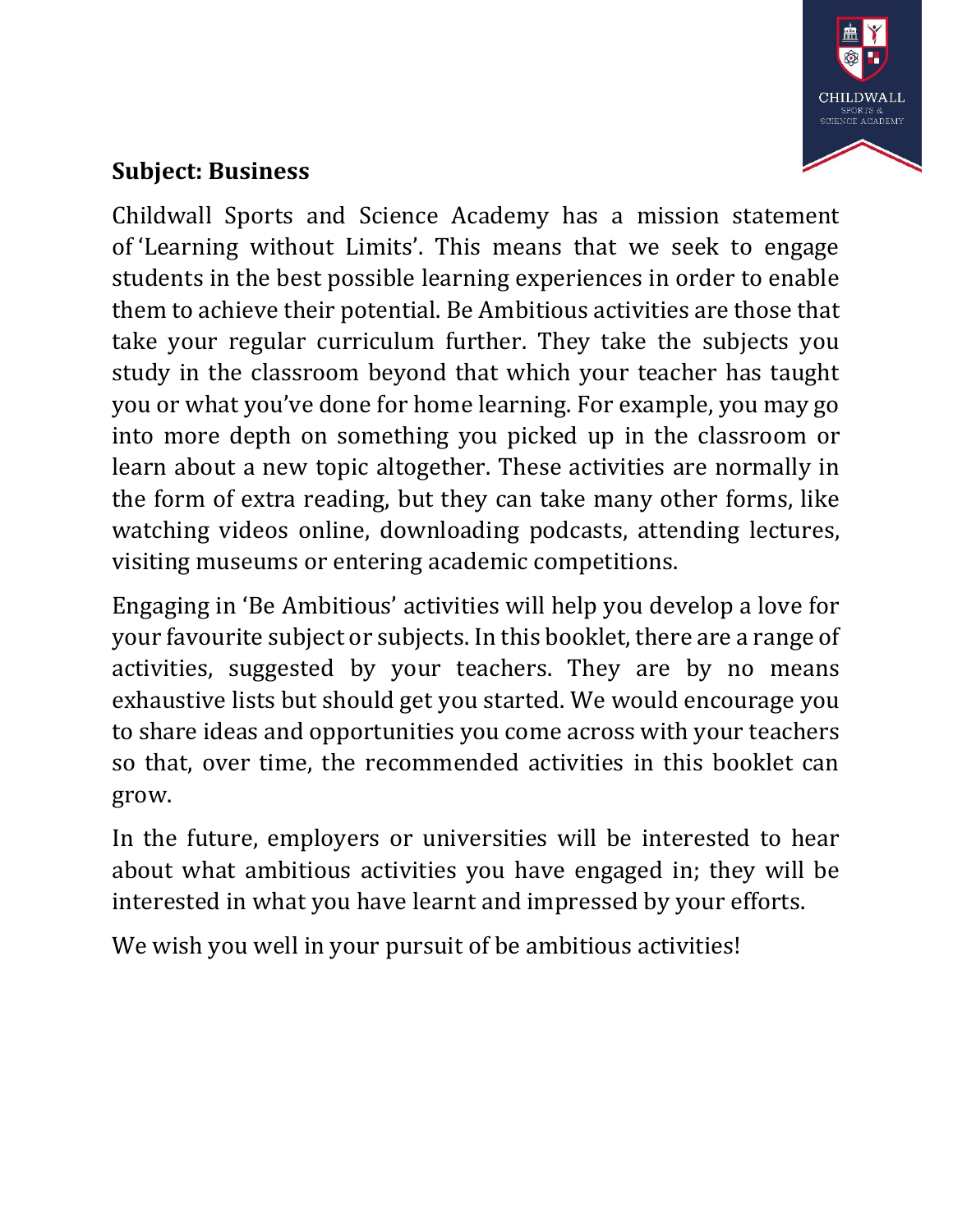

## **Subject: Business**

Childwall Sports and Science Academy has a mission statement of 'Learning without Limits'. This means that we seek to engage students in the best possible learning experiences in order to enable them to achieve their potential. Be Ambitious activities are those that take your regular curriculum further. They take the subjects you study in the classroom beyond that which your teacher has taught you or what you've done for home learning. For example, you may go into more depth on something you picked up in the classroom or learn about a new topic altogether. These activities are normally in the form of extra reading, but they can take many other forms, like watching videos online, downloading podcasts, attending lectures, visiting museums or entering academic competitions.

Engaging in 'Be Ambitious' activities will help you develop a love for your favourite subject or subjects. In this booklet, there are a range of activities, suggested by your teachers. They are by no means exhaustive lists but should get you started. We would encourage you to share ideas and opportunities you come across with your teachers so that, over time, the recommended activities in this booklet can grow.

In the future, employers or universities will be interested to hear about what ambitious activities you have engaged in; they will be interested in what you have learnt and impressed by your efforts.

We wish you well in your pursuit of be ambitious activities!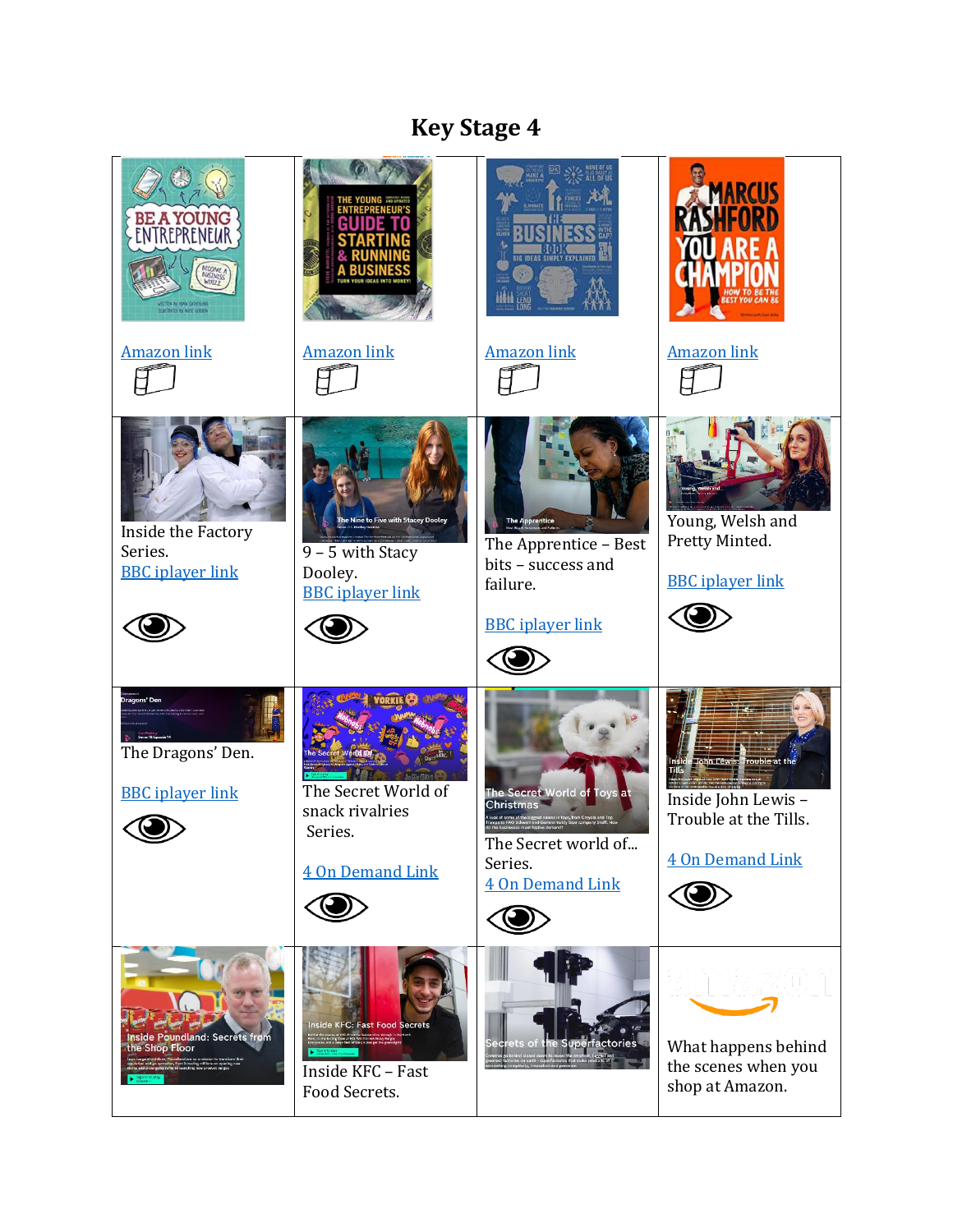## **Key Stage 4**

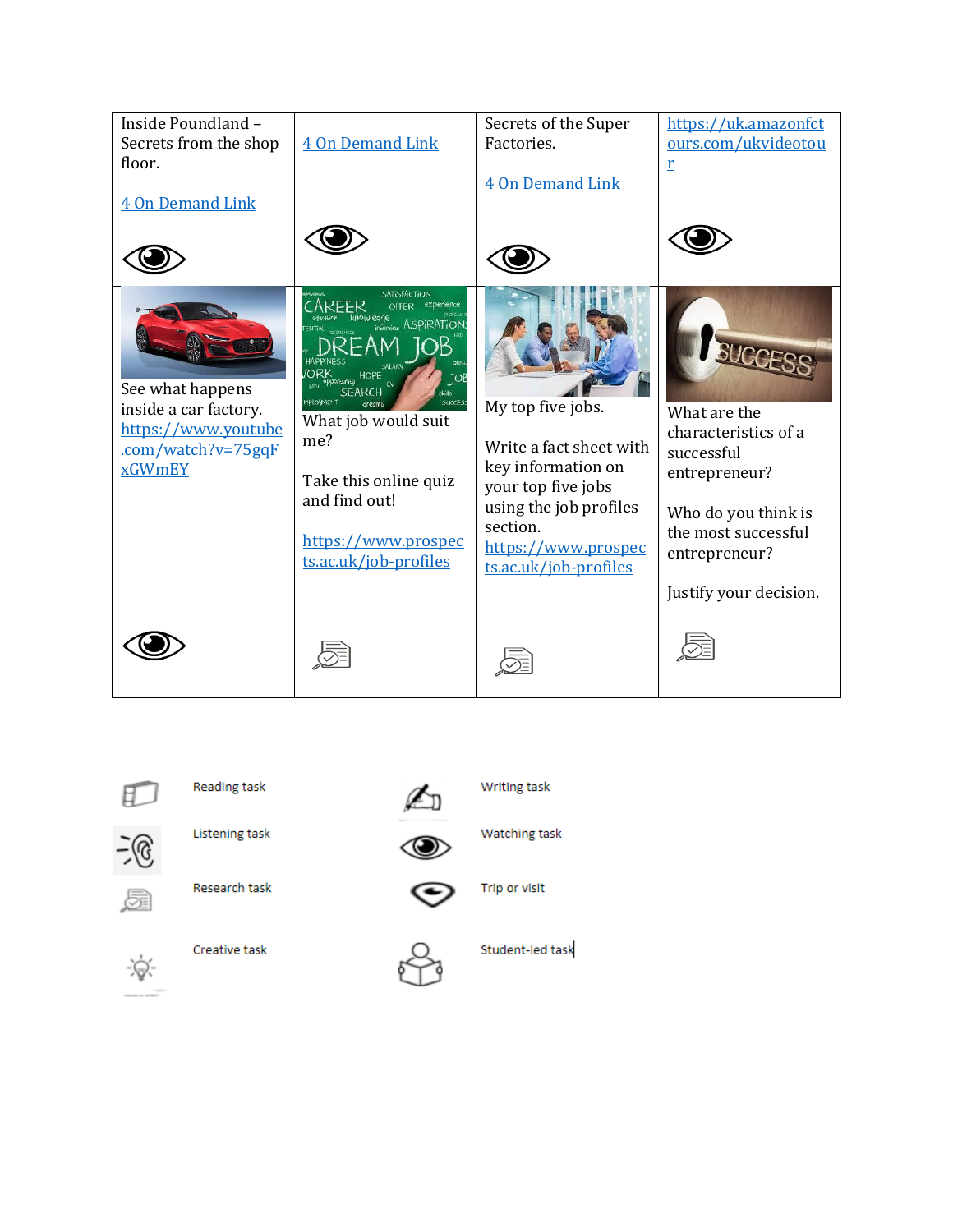



Reading task



Listening task



Watching task

**Writing task** 



Research task



Trip or visit



Creative task



Student-led task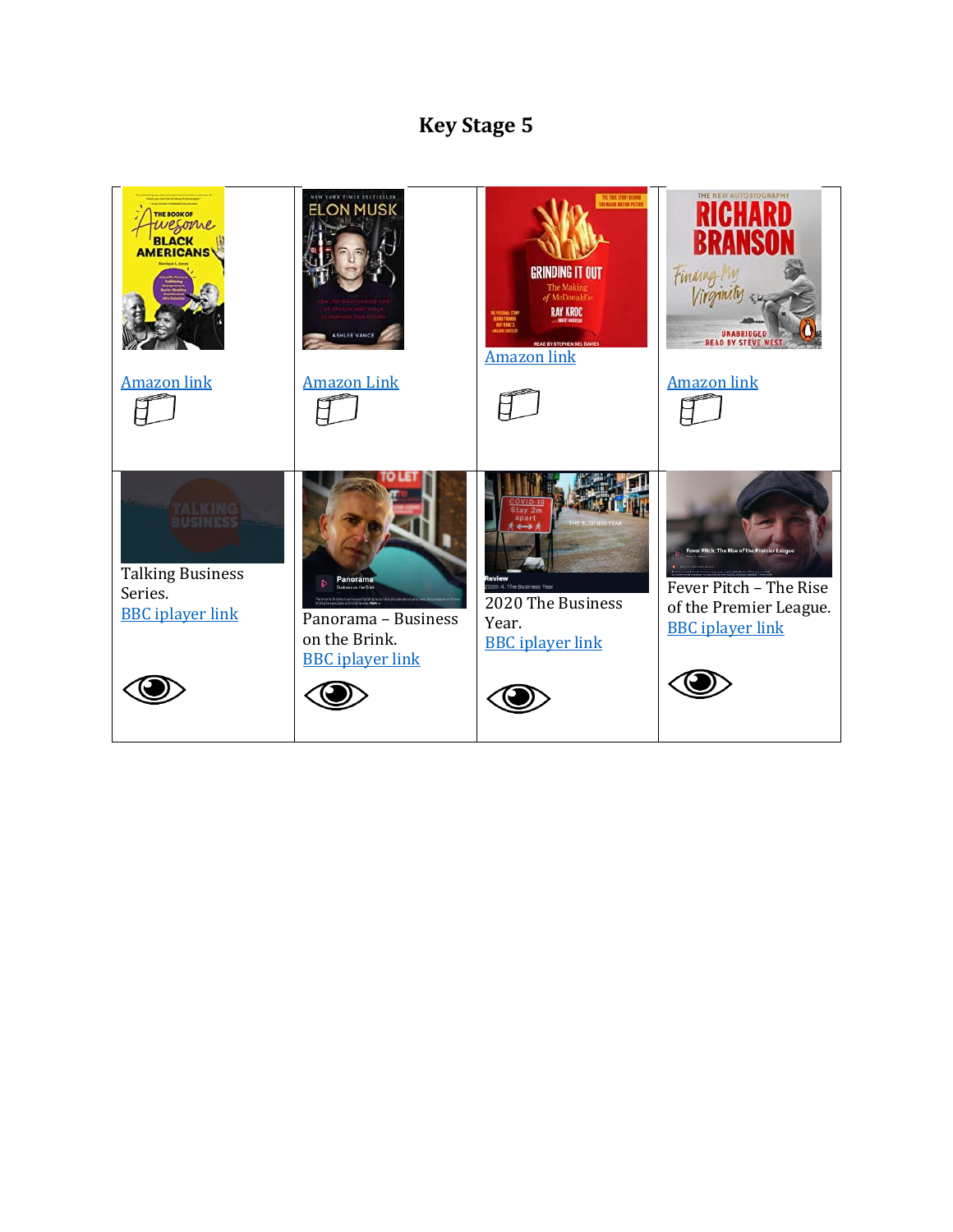## **Key Stage 5**